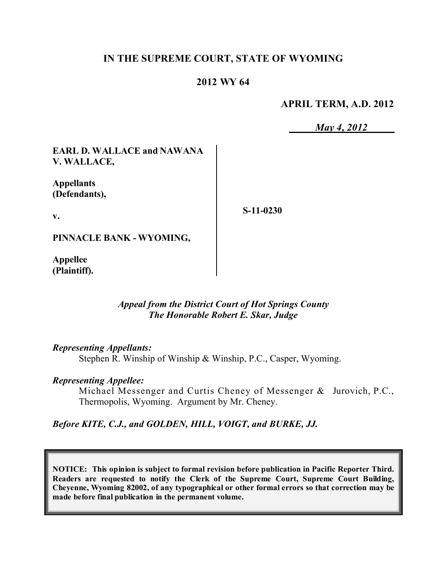## **IN THE SUPREME COURT, STATE OF WYOMING**

## **2012 WY 64**

#### **APRIL TERM, A.D. 2012**

*May 4, 2012*

**EARL D. WALLACE and NAWANA V. WALLACE,**

**Appellants (Defendants),**

**S-11-0230**

**PINNACLE BANK - WYOMING,**

**Appellee (Plaintiff).**

**v.**

#### *Appeal from the District Court of Hot Springs County The Honorable Robert E. Skar, Judge*

*Representing Appellants:*

Stephen R. Winship of Winship & Winship, P.C., Casper, Wyoming.

#### *Representing Appellee:*

Michael Messenger and Curtis Cheney of Messenger & Jurovich, P.C., Thermopolis, Wyoming. Argument by Mr. Cheney.

*Before KITE, C.J., and GOLDEN, HILL, VOIGT, and BURKE, JJ.*

**NOTICE: This opinion is subject to formal revision before publication in Pacific Reporter Third. Readers are requested to notify the Clerk of the Supreme Court, Supreme Court Building, Cheyenne, Wyoming 82002, of any typographical or other formal errors so that correction may be made before final publication in the permanent volume.**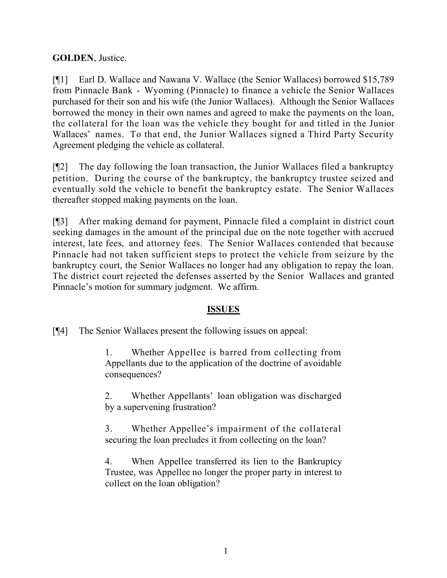## **GOLDEN**, Justice.

[¶1] Earl D. Wallace and Nawana V. Wallace (the Senior Wallaces) borrowed \$15,789 from Pinnacle Bank - Wyoming (Pinnacle) to finance a vehicle the Senior Wallaces purchased for their son and his wife (the Junior Wallaces). Although the Senior Wallaces borrowed the money in their own names and agreed to make the payments on the loan, the collateral for the loan was the vehicle they bought for and titled in the Junior Wallaces' names. To that end, the Junior Wallaces signed a Third Party Security Agreement pledging the vehicle as collateral.

[¶2] The day following the loan transaction, the Junior Wallaces filed a bankruptcy petition. During the course of the bankruptcy, the bankruptcy trustee seized and eventually sold the vehicle to benefit the bankruptcy estate. The Senior Wallaces thereafter stopped making payments on the loan.

[¶3] After making demand for payment, Pinnacle filed a complaint in district court seeking damages in the amount of the principal due on the note together with accrued interest, late fees, and attorney fees. The Senior Wallaces contended that because Pinnacle had not taken sufficient steps to protect the vehicle from seizure by the bankruptcy court, the Senior Wallaces no longer had any obligation to repay the loan. The district court rejected the defenses asserted by the Senior Wallaces and granted Pinnacle's motion for summary judgment. We affirm.

### **ISSUES**

[¶4] The Senior Wallaces present the following issues on appeal:

1. Whether Appellee is barred from collecting from Appellants due to the application of the doctrine of avoidable consequences?

2. Whether Appellants' loan obligation was discharged by a supervening frustration?

3. Whether Appellee's impairment of the collateral securing the loan precludes it from collecting on the loan?

4. When Appellee transferred its lien to the Bankruptcy Trustee, was Appellee no longer the proper party in interest to collect on the loan obligation?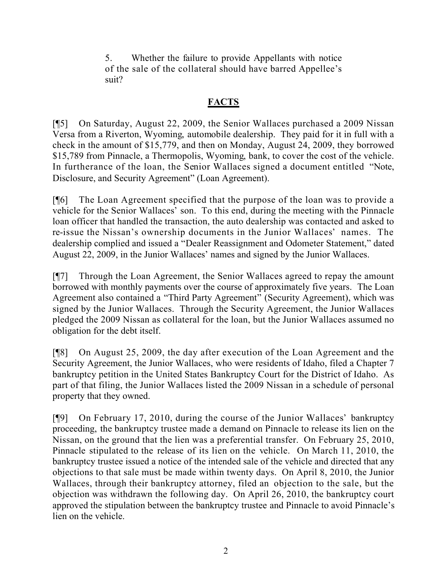5. Whether the failure to provide Appellants with notice of the sale of the collateral should have barred Appellee's suit?

# **FACTS**

[¶5] On Saturday, August 22, 2009, the Senior Wallaces purchased a 2009 Nissan Versa from a Riverton, Wyoming, automobile dealership. They paid for it in full with a check in the amount of \$15,779, and then on Monday, August 24, 2009, they borrowed \$15,789 from Pinnacle, a Thermopolis, Wyoming, bank, to cover the cost of the vehicle. In furtherance of the loan, the Senior Wallaces signed a document entitled "Note, Disclosure, and Security Agreement" (Loan Agreement).

[¶6] The Loan Agreement specified that the purpose of the loan was to provide a vehicle for the Senior Wallaces' son. To this end, during the meeting with the Pinnacle loan officer that handled the transaction, the auto dealership was contacted and asked to re-issue the Nissan's ownership documents in the Junior Wallaces' names. The dealership complied and issued a "Dealer Reassignment and Odometer Statement," dated August 22, 2009, in the Junior Wallaces' names and signed by the Junior Wallaces.

[¶7] Through the Loan Agreement, the Senior Wallaces agreed to repay the amount borrowed with monthly payments over the course of approximately five years. The Loan Agreement also contained a "Third Party Agreement" (Security Agreement), which was signed by the Junior Wallaces. Through the Security Agreement, the Junior Wallaces pledged the 2009 Nissan as collateral for the loan, but the Junior Wallaces assumed no obligation for the debt itself.

[¶8] On August 25, 2009, the day after execution of the Loan Agreement and the Security Agreement, the Junior Wallaces, who were residents of Idaho, filed a Chapter 7 bankruptcy petition in the United States Bankruptcy Court for the District of Idaho. As part of that filing, the Junior Wallaces listed the 2009 Nissan in a schedule of personal property that they owned.

[¶9] On February 17, 2010, during the course of the Junior Wallaces' bankruptcy proceeding, the bankruptcy trustee made a demand on Pinnacle to release its lien on the Nissan, on the ground that the lien was a preferential transfer. On February 25, 2010, Pinnacle stipulated to the release of its lien on the vehicle. On March 11, 2010, the bankruptcy trustee issued a notice of the intended sale of the vehicle and directed that any objections to that sale must be made within twenty days. On April 8, 2010, the Junior Wallaces, through their bankruptcy attorney, filed an objection to the sale, but the objection was withdrawn the following day. On April 26, 2010, the bankruptcy court approved the stipulation between the bankruptcy trustee and Pinnacle to avoid Pinnacle's lien on the vehicle.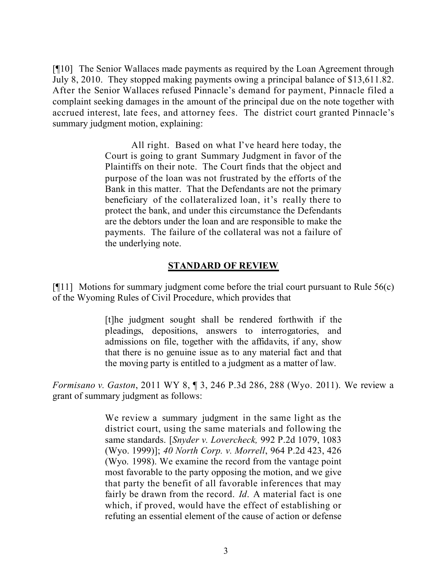[¶10] The Senior Wallaces made payments as required by the Loan Agreement through July 8, 2010. They stopped making payments owing a principal balance of \$13,611.82. After the Senior Wallaces refused Pinnacle's demand for payment, Pinnacle filed a complaint seeking damages in the amount of the principal due on the note together with accrued interest, late fees, and attorney fees. The district court granted Pinnacle's summary judgment motion, explaining:

> All right. Based on what I've heard here today, the Court is going to grant Summary Judgment in favor of the Plaintiffs on their note. The Court finds that the object and purpose of the loan was not frustrated by the efforts of the Bank in this matter. That the Defendants are not the primary beneficiary of the collateralized loan, it's really there to protect the bank, and under this circumstance the Defendants are the debtors under the loan and are responsible to make the payments. The failure of the collateral was not a failure of the underlying note.

#### **STANDARD OF REVIEW**

 $[11]$  Motions for summary judgment come before the trial court pursuant to Rule 56(c) of the Wyoming Rules of Civil Procedure, which provides that

> [t]he judgment sought shall be rendered forthwith if the pleadings, depositions, answers to interrogatories, and admissions on file, together with the affidavits, if any, show that there is no genuine issue as to any material fact and that the moving party is entitled to a judgment as a matter of law.

*Formisano v. Gaston*, 2011 WY 8, ¶ 3, 246 P.3d 286, 288 (Wyo. 2011). We review a grant of summary judgment as follows:

> We review a summary judgment in the same light as the district court, using the same materials and following the same standards. [*Snyder v. Lovercheck,* 992 P.2d 1079, 1083 (Wyo. 1999)]; *40 North Corp. v. Morrell*, 964 P.2d 423, 426 (Wyo. 1998). We examine the record from the vantage point most favorable to the party opposing the motion, and we give that party the benefit of all favorable inferences that may fairly be drawn from the record. *Id*. A material fact is one which, if proved, would have the effect of establishing or refuting an essential element of the cause of action or defense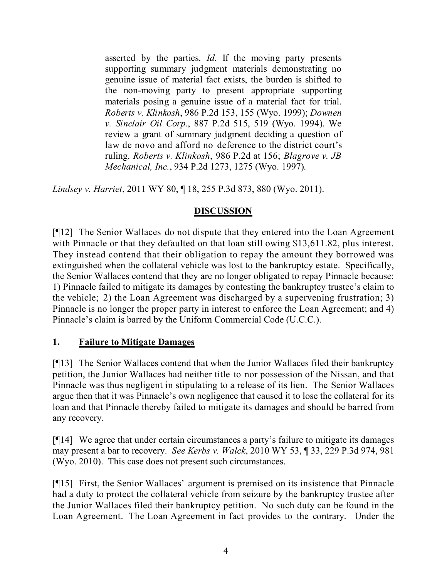asserted by the parties. *Id*. If the moving party presents supporting summary judgment materials demonstrating no genuine issue of material fact exists, the burden is shifted to the non-moving party to present appropriate supporting materials posing a genuine issue of a material fact for trial. *Roberts v. Klinkosh*, 986 P.2d 153, 155 (Wyo. 1999); *Downen v. Sinclair Oil Corp.*, 887 P.2d 515, 519 (Wyo. 1994). We review a grant of summary judgment deciding a question of law de novo and afford no deference to the district court's ruling. *Roberts v. Klinkosh*, 986 P.2d at 156; *Blagrove v. JB Mechanical, Inc.*, 934 P.2d 1273, 1275 (Wyo. 1997).

*Lindsey v. Harriet*, 2011 WY 80, ¶ 18, 255 P.3d 873, 880 (Wyo. 2011).

# **DISCUSSION**

[¶12] The Senior Wallaces do not dispute that they entered into the Loan Agreement with Pinnacle or that they defaulted on that loan still owing \$13,611.82, plus interest. They instead contend that their obligation to repay the amount they borrowed was extinguished when the collateral vehicle was lost to the bankruptcy estate. Specifically, the Senior Wallaces contend that they are no longer obligated to repay Pinnacle because: 1) Pinnacle failed to mitigate its damages by contesting the bankruptcy trustee's claim to the vehicle; 2) the Loan Agreement was discharged by a supervening frustration; 3) Pinnacle is no longer the proper party in interest to enforce the Loan Agreement; and 4) Pinnacle's claim is barred by the Uniform Commercial Code (U.C.C.).

### **1. Failure to Mitigate Damages**

[¶13] The Senior Wallaces contend that when the Junior Wallaces filed their bankruptcy petition, the Junior Wallaces had neither title to nor possession of the Nissan, and that Pinnacle was thus negligent in stipulating to a release of its lien. The Senior Wallaces argue then that it was Pinnacle's own negligence that caused it to lose the collateral for its loan and that Pinnacle thereby failed to mitigate its damages and should be barred from any recovery.

[¶14] We agree that under certain circumstances a party's failure to mitigate its damages may present a bar to recovery. *See Kerbs v. Walck*, 2010 WY 53, ¶ 33, 229 P.3d 974, 981 (Wyo. 2010). This case does not present such circumstances.

[¶15] First, the Senior Wallaces' argument is premised on its insistence that Pinnacle had a duty to protect the collateral vehicle from seizure by the bankruptcy trustee after the Junior Wallaces filed their bankruptcy petition. No such duty can be found in the Loan Agreement. The Loan Agreement in fact provides to the contrary. Under the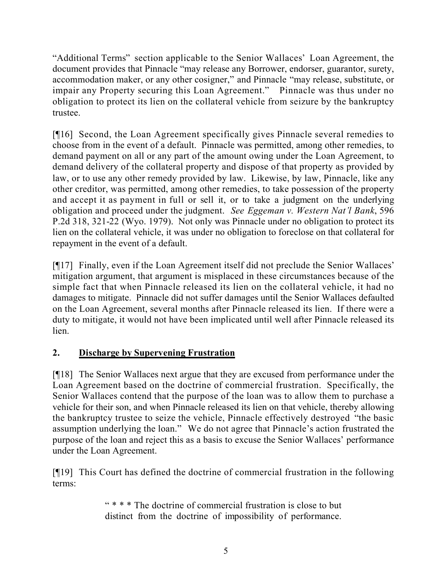"Additional Terms" section applicable to the Senior Wallaces' Loan Agreement, the document provides that Pinnacle "may release any Borrower, endorser, guarantor, surety, accommodation maker, or any other cosigner," and Pinnacle "may release, substitute, or impair any Property securing this Loan Agreement." Pinnacle was thus under no obligation to protect its lien on the collateral vehicle from seizure by the bankruptcy trustee.

[¶16] Second, the Loan Agreement specifically gives Pinnacle several remedies to choose from in the event of a default. Pinnacle was permitted, among other remedies, to demand payment on all or any part of the amount owing under the Loan Agreement, to demand delivery of the collateral property and dispose of that property as provided by law, or to use any other remedy provided by law. Likewise, by law, Pinnacle, like any other creditor, was permitted, among other remedies, to take possession of the property and accept it as payment in full or sell it, or to take a judgment on the underlying obligation and proceed under the judgment. *See Eggeman v. Western Nat'l Bank*, 596 P.2d 318, 321-22 (Wyo. 1979). Not only was Pinnacle under no obligation to protect its lien on the collateral vehicle, it was under no obligation to foreclose on that collateral for repayment in the event of a default.

[¶17] Finally, even if the Loan Agreement itself did not preclude the Senior Wallaces' mitigation argument, that argument is misplaced in these circumstances because of the simple fact that when Pinnacle released its lien on the collateral vehicle, it had no damages to mitigate. Pinnacle did not suffer damages until the Senior Wallaces defaulted on the Loan Agreement, several months after Pinnacle released its lien. If there were a duty to mitigate, it would not have been implicated until well after Pinnacle released its lien.

# **2. Discharge by Supervening Frustration**

[¶18] The Senior Wallaces next argue that they are excused from performance under the Loan Agreement based on the doctrine of commercial frustration. Specifically, the Senior Wallaces contend that the purpose of the loan was to allow them to purchase a vehicle for their son, and when Pinnacle released its lien on that vehicle, thereby allowing the bankruptcy trustee to seize the vehicle, Pinnacle effectively destroyed "the basic assumption underlying the loan." We do not agree that Pinnacle's action frustrated the purpose of the loan and reject this as a basis to excuse the Senior Wallaces' performance under the Loan Agreement.

[¶19] This Court has defined the doctrine of commercial frustration in the following terms:

> " \* \* \* The doctrine of commercial frustration is close to but distinct from the doctrine of impossibility of performance.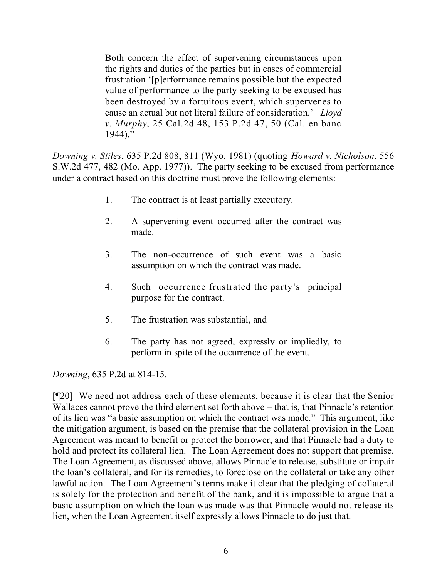Both concern the effect of supervening circumstances upon the rights and duties of the parties but in cases of commercial frustration '[p]erformance remains possible but the expected value of performance to the party seeking to be excused has been destroyed by a fortuitous event, which supervenes to cause an actual but not literal failure of consideration.' *Lloyd v. Murphy*, 25 Cal.2d 48, 153 P.2d 47, 50 (Cal. en banc 1944)."

*Downing v. Stiles*, 635 P.2d 808, 811 (Wyo. 1981) (quoting *Howard v. Nicholson*, 556 S.W.2d 477, 482 (Mo. App. 1977)). The party seeking to be excused from performance under a contract based on this doctrine must prove the following elements:

- 1. The contract is at least partially executory.
- 2. A supervening event occurred after the contract was made.
- 3. The non-occurrence of such event was a basic assumption on which the contract was made.
- 4. Such occurrence frustrated the party's principal purpose for the contract.
- 5. The frustration was substantial, and
- 6. The party has not agreed, expressly or impliedly, to perform in spite of the occurrence of the event.

*Downing*, 635 P.2d at 814-15.

[¶20] We need not address each of these elements, because it is clear that the Senior Wallaces cannot prove the third element set forth above – that is, that Pinnacle's retention of its lien was "a basic assumption on which the contract was made." This argument, like the mitigation argument, is based on the premise that the collateral provision in the Loan Agreement was meant to benefit or protect the borrower, and that Pinnacle had a duty to hold and protect its collateral lien. The Loan Agreement does not support that premise. The Loan Agreement, as discussed above, allows Pinnacle to release, substitute or impair the loan's collateral, and for its remedies, to foreclose on the collateral or take any other lawful action. The Loan Agreement's terms make it clear that the pledging of collateral is solely for the protection and benefit of the bank, and it is impossible to argue that a basic assumption on which the loan was made was that Pinnacle would not release its lien, when the Loan Agreement itself expressly allows Pinnacle to do just that.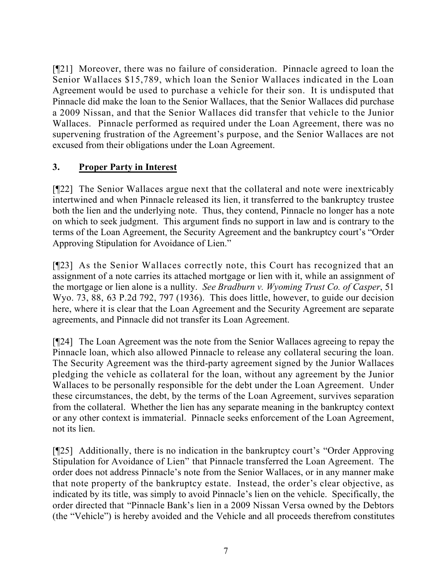[¶21] Moreover, there was no failure of consideration. Pinnacle agreed to loan the Senior Wallaces \$15,789, which loan the Senior Wallaces indicated in the Loan Agreement would be used to purchase a vehicle for their son. It is undisputed that Pinnacle did make the loan to the Senior Wallaces, that the Senior Wallaces did purchase a 2009 Nissan, and that the Senior Wallaces did transfer that vehicle to the Junior Wallaces. Pinnacle performed as required under the Loan Agreement, there was no supervening frustration of the Agreement's purpose, and the Senior Wallaces are not excused from their obligations under the Loan Agreement.

# **3. Proper Party in Interest**

[¶22] The Senior Wallaces argue next that the collateral and note were inextricably intertwined and when Pinnacle released its lien, it transferred to the bankruptcy trustee both the lien and the underlying note. Thus, they contend, Pinnacle no longer has a note on which to seek judgment. This argument finds no support in law and is contrary to the terms of the Loan Agreement, the Security Agreement and the bankruptcy court's "Order Approving Stipulation for Avoidance of Lien."

[¶23] As the Senior Wallaces correctly note, this Court has recognized that an assignment of a note carries its attached mortgage or lien with it, while an assignment of the mortgage or lien alone is a nullity. *See Bradburn v. Wyoming Trust Co. of Casper*, 51 Wyo. 73, 88, 63 P.2d 792, 797 (1936). This does little, however, to guide our decision here, where it is clear that the Loan Agreement and the Security Agreement are separate agreements, and Pinnacle did not transfer its Loan Agreement.

[¶24] The Loan Agreement was the note from the Senior Wallaces agreeing to repay the Pinnacle loan, which also allowed Pinnacle to release any collateral securing the loan. The Security Agreement was the third-party agreement signed by the Junior Wallaces pledging the vehicle as collateral for the loan, without any agreement by the Junior Wallaces to be personally responsible for the debt under the Loan Agreement. Under these circumstances, the debt, by the terms of the Loan Agreement, survives separation from the collateral. Whether the lien has any separate meaning in the bankruptcy context or any other context is immaterial. Pinnacle seeks enforcement of the Loan Agreement, not its lien.

[¶25] Additionally, there is no indication in the bankruptcy court's "Order Approving Stipulation for Avoidance of Lien" that Pinnacle transferred the Loan Agreement. The order does not address Pinnacle's note from the Senior Wallaces, or in any manner make that note property of the bankruptcy estate. Instead, the order's clear objective, as indicated by its title, was simply to avoid Pinnacle's lien on the vehicle. Specifically, the order directed that "Pinnacle Bank's lien in a 2009 Nissan Versa owned by the Debtors (the "Vehicle") is hereby avoided and the Vehicle and all proceeds therefrom constitutes